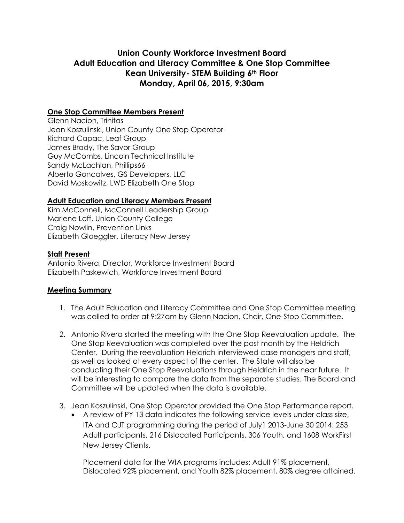# **Union County Workforce Investment Board Adult Education and Literacy Committee & One Stop Committee Kean University- STEM Building 6th Floor Monday, April 06, 2015, 9:30am**

## **One Stop Committee Members Present**

Glenn Nacion, Trinitas Jean Koszulinski, Union County One Stop Operator Richard Capac, Leaf Group James Brady, The Savor Group Guy McCombs, Lincoln Technical Institute Sandy McLachlan, Phillips66 Alberto Goncalves, GS Developers, LLC David Moskowitz, LWD Elizabeth One Stop

## **Adult Education and Literacy Members Present**

Kim McConnell, McConnell Leadership Group Marlene Loff, Union County College Craig Nowlin, Prevention Links Elizabeth Gloeggler, Literacy New Jersey

### **Staff Present**

Antonio Rivera, Director, Workforce Investment Board Elizabeth Paskewich, Workforce Investment Board

### **Meeting Summary**

- 1. The Adult Education and Literacy Committee and One Stop Committee meeting was called to order at 9:27am by Glenn Nacion, Chair, One-Stop Committee.
- 2. Antonio Rivera started the meeting with the One Stop Reevaluation update. The One Stop Reevaluation was completed over the past month by the Heldrich Center. During the reevaluation Heldrich interviewed case managers and staff, as well as looked at every aspect of the center. The State will also be conducting their One Stop Reevaluations through Heldrich in the near future. It will be interesting to compare the data from the separate studies. The Board and Committee will be updated when the data is available.
- 3. Jean Koszulinski, One Stop Operator provided the One Stop Performance report.
	- A review of PY 13 data indicates the following service levels under class size, ITA and OJT programming during the period of July1 2013-June 30 2014: 253 Adult participants, 216 Dislocated Participants, 306 Youth, and 1608 WorkFirst New Jersey Clients.

Placement data for the WIA programs includes: Adult 91% placement, Dislocated 92% placement, and Youth 82% placement, 80% degree attained.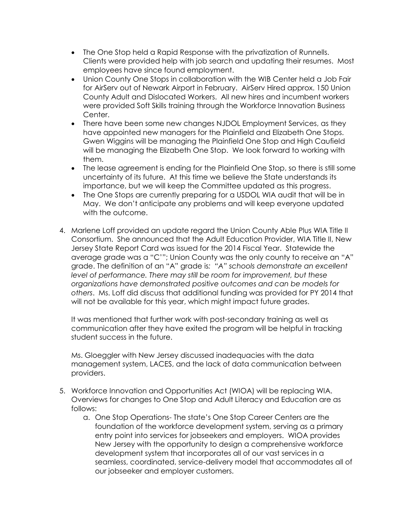- The One Stop held a Rapid Response with the privatization of Runnells. Clients were provided help with job search and updating their resumes. Most employees have since found employment.
- Union County One Stops in collaboration with the WIB Center held a Job Fair for AirServ out of Newark Airport in February. AirServ Hired approx. 150 Union County Adult and Dislocated Workers. All new hires and incumbent workers were provided Soft Skills training through the Workforce Innovation Business Center.
- There have been some new changes NJDOL Employment Services, as they have appointed new managers for the Plainfield and Elizabeth One Stops. Gwen Wiggins will be managing the Plainfield One Stop and High Caufield will be managing the Elizabeth One Stop. We look forward to working with them.
- The lease agreement is ending for the Plainfield One Stop, so there is still some uncertainty of its future. At this time we believe the State understands its importance, but we will keep the Committee updated as this progress.
- The One Stops are currently preparing for a USDOL WIA audit that will be in May. We don't anticipate any problems and will keep everyone updated with the outcome.
- 4. Marlene Loff provided an update regard the Union County Able Plus WIA Title II Consortium. She announced that the Adult Education Provider, WIA Title II, New Jersey State Report Card was issued for the 2014 Fiscal Year. Statewide the average grade was a "C'"; Union County was the only county to receive an "A" grade. The definition of an "A" grade is*: "A" schools demonstrate an excellent level of performance. There may still be room for improvement, but these organizations have demonstrated positive outcomes and can be models for others*. Ms. Loff did discuss that additional funding was provided for PY 2014 that will not be available for this year, which might impact future grades.

It was mentioned that further work with post-secondary training as well as communication after they have exited the program will be helpful in tracking student success in the future.

Ms. Gloeggler with New Jersey discussed inadequacies with the data management system, LACES, and the lack of data communication between providers.

- 5. Workforce Innovation and Opportunities Act (WIOA) will be replacing WIA. Overviews for changes to One Stop and Adult Literacy and Education are as follows:
	- a. One Stop Operations- The state's One Stop Career Centers are the foundation of the workforce development system, serving as a primary entry point into services for jobseekers and employers. WIOA provides New Jersey with the opportunity to design a comprehensive workforce development system that incorporates all of our vast services in a seamless, coordinated, service-delivery model that accommodates all of our jobseeker and employer customers.